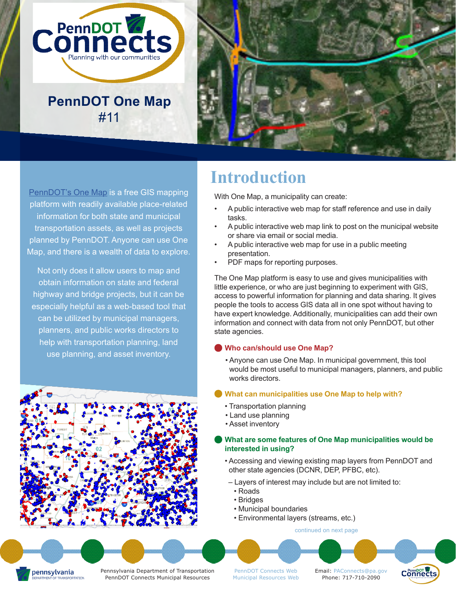

**PennDOT One Map** #11



[PennDOT's One Map](https://gis.penndot.gov/onemap/) is a free GIS mapping platform with readily available place-related information for both state and municipal transportation assets, as well as projects planned by PennDOT. Anyone can use One Map, and there is a wealth of data to explore.

Not only does it allow users to map and obtain information on state and federal highway and bridge projects, but it can be especially helpful as a web-based tool that can be utilized by municipal managers, planners, and public works directors to help with transportation planning, land use planning, and asset inventory.



# **Introduction**

With One Map, a municipality can create:

- A public interactive web map for staff reference and use in daily tasks.
- A public interactive web map link to post on the municipal website or share via email or social media.
- A public interactive web map for use in a public meeting presentation.
- PDF maps for reporting purposes.

The One Map platform is easy to use and gives municipalities with little experience, or who are just beginning to experiment with GIS, access to powerful information for planning and data sharing. It gives people the tools to access GIS data all in one spot without having to have expert knowledge. Additionally, municipalities can add their own information and connect with data from not only PennDOT, but other state agencies.

#### **Who can/should use One Map?**

• Anyone can use One Map. In municipal government, this tool would be most useful to municipal managers, planners, and public works directors.

#### **What can municipalities use One Map to help with?**

- Transportation planning
- Land use planning
- Asset inventory

#### **What are some features of One Map municipalities would be interested in using?**

- Accessing and viewing existing map layers from PennDOT and other state agencies (DCNR, DEP, PFBC, etc).
- Layers of interest may include but are not limited to:
- Roads
- Bridges
- Municipal boundaries
- Environmental layers (streams, etc.)

[continued on next page](#page-1-0)

pennsylvania OF TRANSPORTATION Pennsylvania Department of Transportation PennDOT Connects Municipal Resources

[PennDOT Connects Web](https://www.penndot.gov/ProjectAndPrograms/Planning/Pages/PennDOT-Connects.aspx) [Municipal Resources Web](https://www.penndot.gov/ProjectAndPrograms/Planning/Pages/Land-Use-and-Transportation-Planning.aspx) Email: [PAConnects@pa.gov](mailto:PAConnects%40pa.gov?subject=) Phone: 717-710-2090

Connects